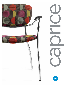



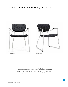## Caprice, a modern and trim guest chair



Four-legged Armchair Sled Base Armchair Sled Base Armchair



Caprice™... a light scale guest chair. Molded black polypropylene armcaps enhance the comfort and durability of the chair. Durable black glides are standard and steel self-leveling rubber cushioned glides are available as an option. Choose an optional long-lasting steel frame. Available in fabric, vinyl and leather.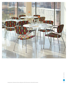